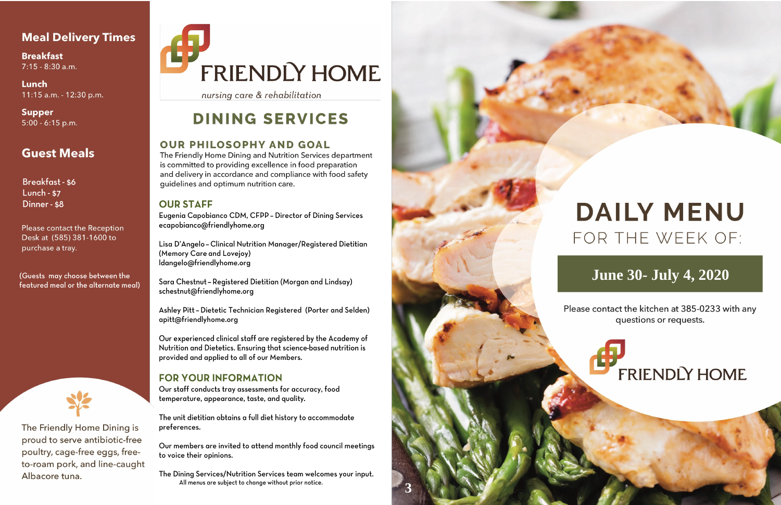# **Meal Delivery Times**

**Breakfast** 7:15 - 8:30 a.m.

Lunch 11:15 a.m. - 12:30 p.m.

Supper  $5:00 - 6:15$  p.m.

# **Guest Meals**

**Breakfast-\$6 Lunch - \$7** Dinner - \$8

Please contact the Reception Desk at (585) 381-1600 to purchase a tray.

(Guests may choose between the featured meal or the alternate meal)



The Friendly Home Dining is proud to serve antibiotic-free poultry, cage-free eggs, freeto-roam pork, and line-caught Albacore tuna.

# FRIENDLY HOME

nursing care & rehabilitation

# **DINING SERVICES**

### **OUR PHILOSOPHY AND GOAL**

The Friendly Home Dining and Nutrition Services department is committed to providing excellence in food preparation and delivery in accordance and compliance with food safety guidelines and optimum nutrition care.

### **OUR STAFF**

Eugenia Capobianco CDM, CFPP - Director of Dining Services ecapobianco@friendlyhome.org

Lisa D'Angelo - Clinical Nutrition Manager/Registered Dietitian (Memory Care and Lovejoy) ldangelo@friendlyhome.org

Sara Chestnut - Registered Dietitian (Morgan and Lindsay) schestnut@friendlyhome.org

Ashley Pitt - Dietetic Technician Registered (Porter and Selden) apitt@friendlyhome.org

Our experienced clinical staff are registered by the Academy of Nutrition and Dietetics. Ensuring that science-based nutrition is provided and applied to all of our Members.

## **FOR YOUR INFORMATION**

Our staff conducts tray assessments for accuracy, food temperature, appearance, taste, and quality.

The unit dietitian obtains a full diet history to accommodate preferences.

Our members are invited to attend monthly food council meetings to voice their opinions.

The Dining Services/Nutrition Services team welcomes your input. All menus are subject to change without prior notice.



# **DAILY MENU** FOR THE WEEK OF:

# **June 30- July 4, 2020**

Please contact the kitchen at 385-0233 with any questions or requests.

**FRIENDLY HOME**